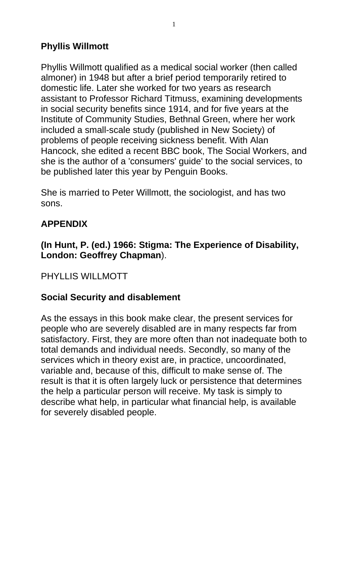# **Phyllis Willmott**

Phyllis Willmott qualified as a medical social worker (then called almoner) in 1948 but after a brief period temporarily retired to domestic life. Later she worked for two years as research assistant to Professor Richard Titmuss, examining developments in social security benefits since 1914, and for five years at the Institute of Community Studies, Bethnal Green, where her work included a small-scale study (published in New Society) of problems of people receiving sickness benefit. With Alan Hancock, she edited a recent BBC book, The Social Workers, and she is the author of a 'consumers' guide' to the social services, to be published later this year by Penguin Books.

She is married to Peter Willmott, the sociologist, and has two sons.

## **APPENDIX**

## **(In Hunt, P. (ed.) 1966: Stigma: The Experience of Disability, London: Geoffrey Chapman**).

### PHYLLIS WILLMOTT

## **Social Security and disablement**

As the essays in this book make clear, the present services for people who are severely disabled are in many respects far from satisfactory. First, they are more often than not inadequate both to total demands and individual needs. Secondly, so many of the services which in theory exist are, in practice, uncoordinated, variable and, because of this, difficult to make sense of. The result is that it is often largely luck or persistence that determines the help a particular person will receive. My task is simply to describe what help, in particular what financial help, is available for severely disabled people.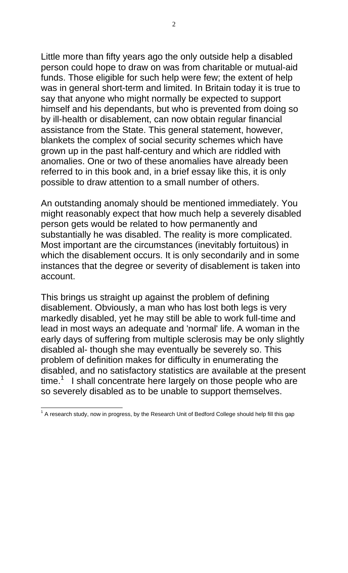Little more than fifty years ago the only outside help a disabled person could hope to draw on was from charitable or mutual-aid funds. Those eligible for such help were few; the extent of help was in general short-term and limited. In Britain today it is true to say that anyone who might normally be expected to support himself and his dependants, but who is prevented from doing so by ill-health or disablement, can now obtain regular financial assistance from the State. This general statement, however, blankets the complex of social security schemes which have grown up in the past half-century and which are riddled with anomalies. One or two of these anomalies have already been referred to in this book and, in a brief essay like this, it is only possible to draw attention to a small number of others.

An outstanding anomaly should be mentioned immediately. You might reasonably expect that how much help a severely disabled person gets would be related to how permanently and substantially he was disabled. The reality is more complicated. Most important are the circumstances (inevitably fortuitous) in which the disablement occurs. It is only secondarily and in some instances that the degree or severity of disablement is taken into account.

This brings us straight up against the problem of defining disablement. Obviously, a man who has lost both legs is very markedly disabled, yet he may still be able to work full-time and lead in most ways an adequate and 'normal' life. A woman in the early days of suffering from multiple sclerosis may be only slightly disabled al- though she may eventually be severely so. This problem of definition makes for difficulty in enumerating the disabled, and no satisfactory statistics are available at the present  $time<sup>1</sup>$  I shall concentrate here largely on those people who are so severely disabled as to be unable to support themselves.

 $1$  A research study, now in progress, by the Research Unit of Bedford College should help fill this gap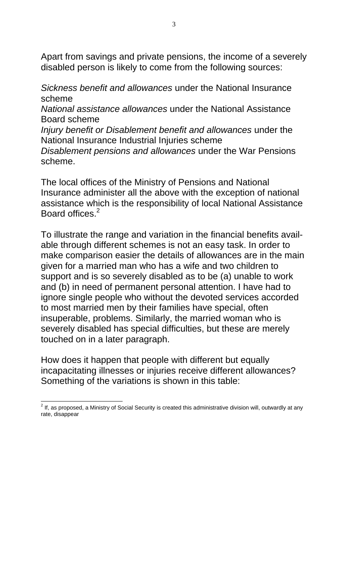Apart from savings and private pensions, the income of a severely disabled person is likely to come from the following sources:

*Sickness benefit and allowances* under the National Insurance scheme

*National assistance allowances* under the National Assistance Board scheme

*Injury benefit or Disablement benefit and allowances* under the National Insurance Industrial Injuries scheme

*Disablement pensions and allowances* under the War Pensions scheme.

The local offices of the Ministry of Pensions and National Insurance administer all the above with the exception of national assistance which is the responsibility of local National Assistance Board offices.<sup>2</sup>

To illustrate the range and variation in the financial benefits available through different schemes is not an easy task. In order to make comparison easier the details of allowances are in the main given for a married man who has a wife and two children to support and is so severely disabled as to be (a) unable to work and (b) in need of permanent personal attention. I have had to ignore single people who without the devoted services accorded to most married men by their families have special, often insuperable, problems. Similarly, the married woman who is severely disabled has special difficulties, but these are merely touched on in a later paragraph.

How does it happen that people with different but equally incapacitating illnesses or injuries receive different allowances? Something of the variations is shown in this table:

 $2$  If, as proposed, a Ministry of Social Security is created this administrative division will, outwardly at any rate, disappear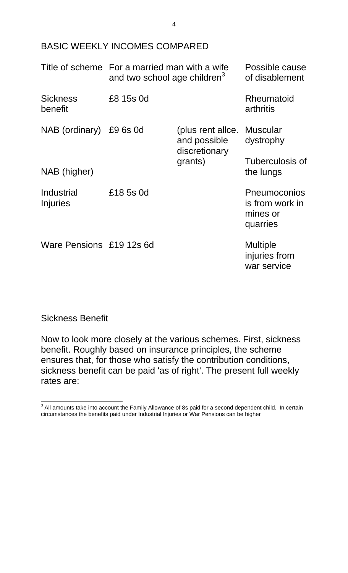### BASIC WEEKLY INCOMES COMPARED

|                            | Title of scheme For a married man with a wife<br>and two school age children <sup>3</sup> |                                                             | Possible cause<br>of disablement                        |
|----------------------------|-------------------------------------------------------------------------------------------|-------------------------------------------------------------|---------------------------------------------------------|
| <b>Sickness</b><br>benefit | £8 15s 0d                                                                                 |                                                             | Rheumatoid<br>arthritis                                 |
| NAB (ordinary) £9 6s 0d    |                                                                                           | (plus rent allce. Muscular<br>and possible<br>discretionary | dystrophy                                               |
| NAB (higher)               |                                                                                           | grants)                                                     | Tuberculosis of<br>the lungs                            |
| Industrial<br>Injuries     | £18 5s 0d                                                                                 |                                                             | Pneumoconios<br>is from work in<br>mines or<br>quarries |
| Ware Pensions £19 12s 6d   |                                                                                           |                                                             | <b>Multiple</b><br>injuries from<br>war service         |

#### Sickness Benefit

Now to look more closely at the various schemes. First, sickness benefit. Roughly based on insurance principles, the scheme ensures that, for those who satisfy the contribution conditions, sickness benefit can be paid 'as of right'. The present full weekly rates are:

 $3$  All amounts take into account the Family Allowance of 8s paid for a second dependent child. In certain circumstances the benefits paid under Industrial Injuries or War Pensions can be higher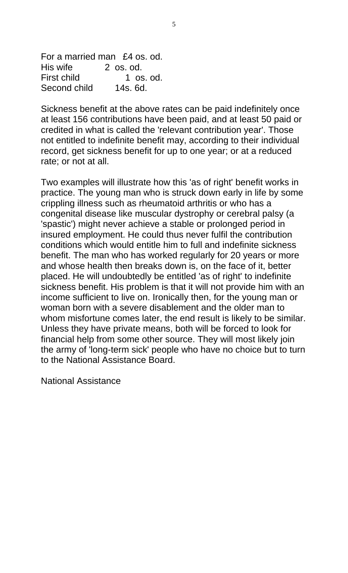For a married man £4 os. od. His wife 2 os. od. First child 1 os. od. Second child 14s, 6d.

Sickness benefit at the above rates can be paid indefinitely once at least 156 contributions have been paid, and at least 50 paid or credited in what is called the 'relevant contribution year'. Those not entitled to indefinite benefit may, according to their individual record, get sickness benefit for up to one year; or at a reduced rate; or not at all.

Two examples will illustrate how this 'as of right' benefit works in practice. The young man who is struck down early in life by some crippling illness such as rheumatoid arthritis or who has a congenital disease like muscular dystrophy or cerebral palsy (a 'spastic') might never achieve a stable or prolonged period in insured employment. He could thus never fulfil the contribution conditions which would entitle him to full and indefinite sickness benefit. The man who has worked regularly for 20 years or more and whose health then breaks down is, on the face of it, better placed. He will undoubtedly be entitled 'as of right' to indefinite sickness benefit. His problem is that it will not provide him with an income sufficient to live on. Ironically then, for the young man or woman born with a severe disablement and the older man to whom misfortune comes later, the end result is likely to be similar. Unless they have private means, both will be forced to look for financial help from some other source. They will most likely join the army of 'long-term sick' people who have no choice but to turn to the National Assistance Board.

National Assistance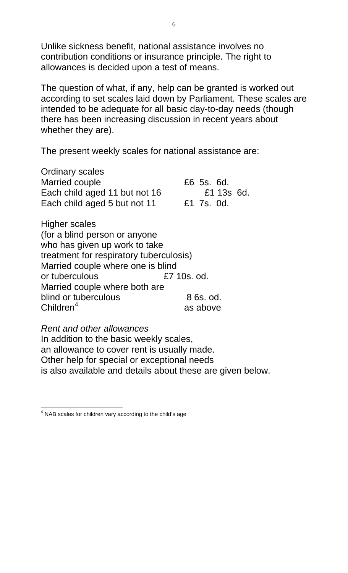Unlike sickness benefit, national assistance involves no contribution conditions or insurance principle. The right to allowances is decided upon a test of means.

The question of what, if any, help can be granted is worked out according to set scales laid down by Parliament. These scales are intended to be adequate for all basic day-to-day needs (though there has been increasing discussion in recent years about whether they are).

The present weekly scales for national assistance are:

Ordinary scales Married couple Each child aged 11 but not 16 Each child aged 5 but not 11 £6 5s. 6d. £1 13s 6d. £1 7s. 0d.

Higher scales (for a blind person or anyone who has given up work to take treatment for respiratory tuberculosis) Married couple where one is blind or tuberculous £7 10s. od. Married couple where both are blind or tuberculous 8 6s. od.  $Childer<sup>4</sup>$  as above

*Rent and other allowances* 

In addition to the basic weekly scales, an allowance to cover rent is usually made. Other help for special or exceptional needs is also available and details about these are given below.

<sup>&</sup>lt;sup>4</sup> NAB scales for children vary according to the child's age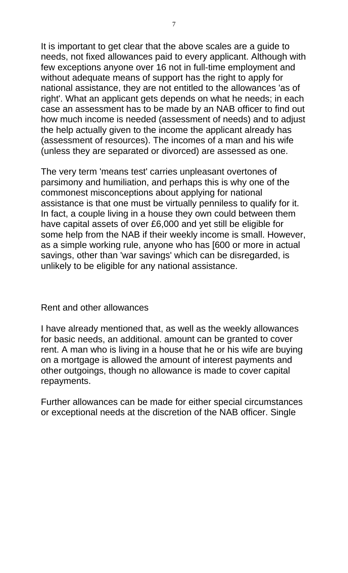It is important to get clear that the above scales are a guide to needs, not fixed allowances paid to every applicant. Although with few exceptions anyone over 16 not in full-time employment and without adequate means of support has the right to apply for national assistance, they are not entitled to the allowances 'as of right'. What an applicant gets depends on what he needs; in each case an assessment has to be made by an NAB officer to find out how much income is needed (assessment of needs) and to adjust the help actually given to the income the applicant already has (assessment of resources). The incomes of a man and his wife (unless they are separated or divorced) are assessed as one.

The very term 'means test' carries unpleasant overtones of parsimony and humiliation, and perhaps this is why one of the commonest misconceptions about applying for national assistance is that one must be virtually penniless to qualify for it. In fact, a couple living in a house they own could between them have capital assets of over £6,000 and yet still be eligible for some help from the NAB if their weekly income is small. However, as a simple working rule, anyone who has [600 or more in actual savings, other than 'war savings' which can be disregarded, is unlikely to be eligible for any national assistance.

Rent and other allowances

I have already mentioned that, as well as the weekly allowances for basic needs, an additional. amount can be granted to cover rent. A man who is living in a house that he or his wife are buying on a mortgage is allowed the amount of interest payments and other outgoings, though no allowance is made to cover capital repayments.

Further allowances can be made for either special circumstances or exceptional needs at the discretion of the NAB officer. Single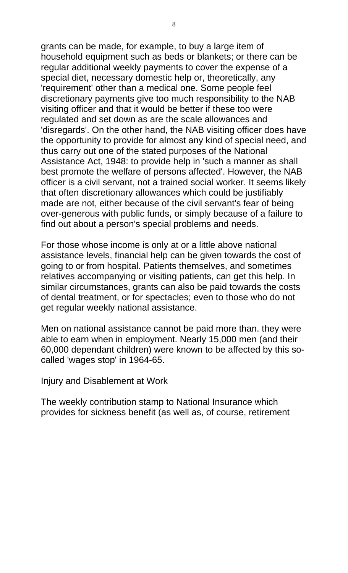grants can be made, for example, to buy a large item of household equipment such as beds or blankets; or there can be regular additional weekly payments to cover the expense of a special diet, necessary domestic help or, theoretically, any 'requirement' other than a medical one. Some people feel discretionary payments give too much responsibility to the NAB visiting officer and that it would be better if these too were regulated and set down as are the scale allowances and 'disregards'. On the other hand, the NAB visiting officer does have the opportunity to provide for almost any kind of special need, and thus carry out one of the stated purposes of the National Assistance Act, 1948: to provide help in 'such a manner as shall best promote the welfare of persons affected'. However, the NAB officer is a civil servant, not a trained social worker. It seems likely that often discretionary allowances which could be justifiably made are not, either because of the civil servant's fear of being over-generous with public funds, or simply because of a failure to find out about a person's special problems and needs.

For those whose income is only at or a little above national assistance levels, financial help can be given towards the cost of going to or from hospital. Patients themselves, and sometimes relatives accompanying or visiting patients, can get this help. In similar circumstances, grants can also be paid towards the costs of dental treatment, or for spectacles; even to those who do not get regular weekly national assistance.

Men on national assistance cannot be paid more than. they were able to earn when in employment. Nearly 15,000 men (and their 60,000 dependant children) were known to be affected by this socalled 'wages stop' in 1964-65.

Injury and Disablement at Work

The weekly contribution stamp to National Insurance which provides for sickness benefit (as well as, of course, retirement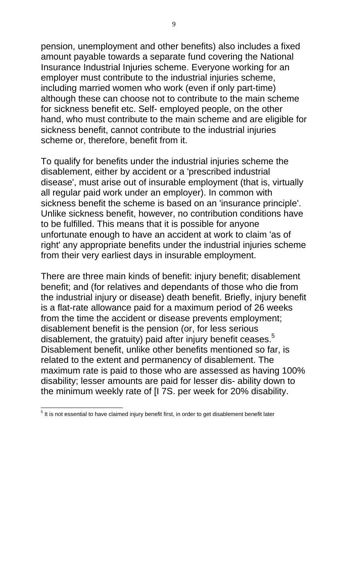pension, unemployment and other benefits) also includes a fixed amount payable towards a separate fund covering the National Insurance Industrial Injuries scheme. Everyone working for an employer must contribute to the industrial injuries scheme, including married women who work (even if only part-time) although these can choose not to contribute to the main scheme for sickness benefit etc. Self- employed people, on the other hand, who must contribute to the main scheme and are eligible for sickness benefit, cannot contribute to the industrial injuries scheme or, therefore, benefit from it.

To qualify for benefits under the industrial injuries scheme the disablement, either by accident or a 'prescribed industrial disease', must arise out of insurable employment (that is, virtually all regular paid work under an employer). In common with sickness benefit the scheme is based on an 'insurance principle'. Unlike sickness benefit, however, no contribution conditions have to be fulfilled. This means that it is possible for anyone unfortunate enough to have an accident at work to claim 'as of right' any appropriate benefits under the industrial injuries scheme from their very earliest days in insurable employment.

There are three main kinds of benefit: injury benefit; disablement benefit; and (for relatives and dependants of those who die from the industrial injury or disease) death benefit. Briefly, injury benefit is a flat-rate allowance paid for a maximum period of 26 weeks from the time the accident or disease prevents employment; disablement benefit is the pension (or, for less serious disablement, the gratuity) paid after injury benefit ceases.<sup>5</sup> Disablement benefit, unlike other benefits mentioned so far, is related to the extent and permanency of disablement. The maximum rate is paid to those who are assessed as having 100% disability; lesser amounts are paid for lesser dis- ability down to the minimum weekly rate of [I 7S. per week for 20% disability.

 $<sup>5</sup>$  It is not essential to have claimed injury benefit first, in order to get disablement benefit later</sup>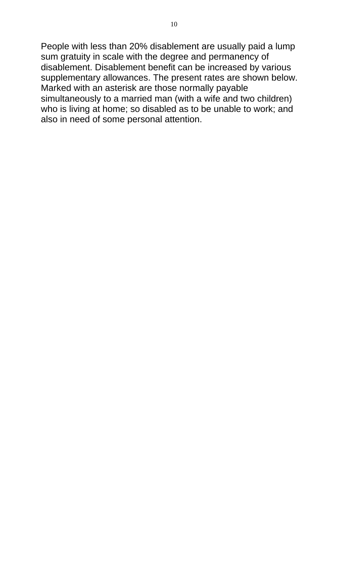People with less than 20% disablement are usually paid a lump sum gratuity in scale with the degree and permanency of disablement. Disablement benefit can be increased by various supplementary allowances. The present rates are shown below. Marked with an asterisk are those normally payable simultaneously to a married man (with a wife and two children) who is living at home; so disabled as to be unable to work; and also in need of some personal attention.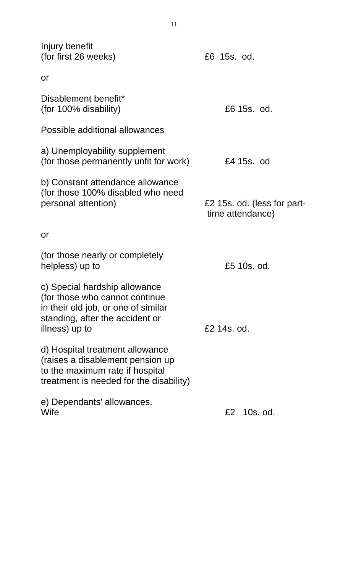| Injury benefit<br>(for first 26 weeks)                                                                                                                      | £6 15s. od.                                     |  |
|-------------------------------------------------------------------------------------------------------------------------------------------------------------|-------------------------------------------------|--|
| or                                                                                                                                                          |                                                 |  |
| Disablement benefit*<br>(for 100% disability)                                                                                                               | £6 15s. od.                                     |  |
| Possible additional allowances                                                                                                                              |                                                 |  |
| a) Unemployability supplement<br>(for those permanently unfit for work)                                                                                     | £4 15s. od                                      |  |
| b) Constant attendance allowance<br>(for those 100% disabled who need<br>personal attention)                                                                | £2 15s. od. (less for part-<br>time attendance) |  |
| or                                                                                                                                                          |                                                 |  |
| (for those nearly or completely<br>helpless) up to                                                                                                          | £5 10s. od.                                     |  |
| c) Special hardship allowance<br>(for those who cannot continue<br>in their old job, or one of similar<br>standing, after the accident or<br>illness) up to | £2 14s, od.                                     |  |
| d) Hospital treatment allowance<br>(raises a disablement pension up)<br>to the maximum rate if hospital<br>treatment is needed for the disability)          |                                                 |  |
| e) Dependants' allowances.<br>Wife                                                                                                                          | 10s. od.<br>£2                                  |  |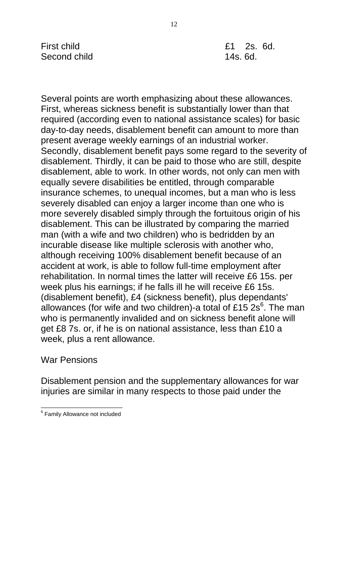Several points are worth emphasizing about these allowances. First, whereas sickness benefit is substantially lower than that required (according even to national assistance scales) for basic day-to-day needs, disablement benefit can amount to more than present average weekly earnings of an industrial worker. Secondly, disablement benefit pays some regard to the severity of disablement. Thirdly, it can be paid to those who are still, despite disablement, able to work. In other words, not only can men with equally severe disabilities be entitled, through comparable insurance schemes, to unequal incomes, but a man who is less severely disabled can enjoy a larger income than one who is more severely disabled simply through the fortuitous origin of his disablement. This can be illustrated by comparing the married man (with a wife and two children) who is bedridden by an incurable disease like multiple sclerosis with another who, although receiving 100% disablement benefit because of an accident at work, is able to follow full-time employment after rehabilitation. In normal times the latter will receive £6 15s. per week plus his earnings; if he falls ill he will receive £6 15s. (disablement benefit), £4 (sickness benefit), plus dependants' allowances (for wife and two children)-a total of £15 2s<sup>6</sup>. The man who is permanently invalided and on sickness benefit alone will get £8 7s. or, if he is on national assistance, less than £10 a week, plus a rent allowance.

### War Pensions

Disablement pension and the supplementary allowances for war injuries are similar in many respects to those paid under the

<sup>&</sup>lt;sup>6</sup> Family Allowance not included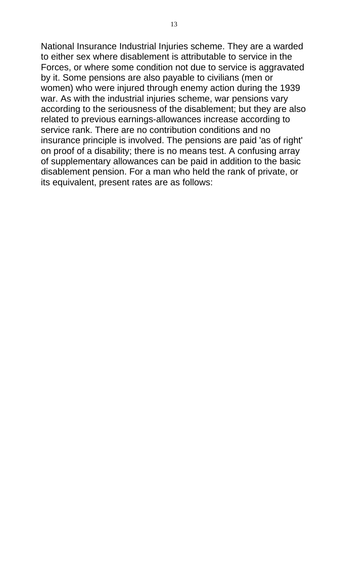National Insurance Industrial Injuries scheme. They are a warded to either sex where disablement is attributable to service in the Forces, or where some condition not due to service is aggravated by it. Some pensions are also payable to civilians (men or women) who were injured through enemy action during the 1939 war. As with the industrial injuries scheme, war pensions vary according to the seriousness of the disablement; but they are also related to previous earnings-allowances increase according to service rank. There are no contribution conditions and no insurance principle is involved. The pensions are paid 'as of right' on proof of a disability; there is no means test. A confusing array of supplementary allowances can be paid in addition to the basic disablement pension. For a man who held the rank of private, or its equivalent, present rates are as follows: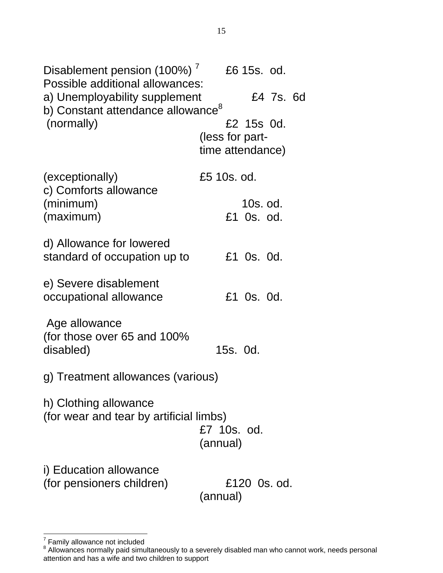Disablement pension (100%) $^7$  £6 15s. od. Possible additional allowances: a) Unemployability supplement E4 7s. 6d b) Constant attendance allowance<sup>8</sup> (normally) (exceptionally) c) Comforts allowance (minimum) (maximum) d) Allowance for lowered standard of occupation up to e) Severe disablement occupational allowance Age allowance (for those over 65 and 100% disabled) £2 15s 0d. (less for parttime attendance) £5 10s. od. 10s. od. £1 0s. od. £1 0s. 0d. £1 0s. 0d. 15s. 0d. g) Treatment allowances (various) h) Clothing allowance (for wear and tear by artificial limbs) £7 10s. od. (annual) i) Education allowance (for pensioners children) £120 0s. od. (annual)

 $7$  Family allowance not included

 $8$  Allowances normally paid simultaneously to a severely disabled man who cannot work, needs personal attention and has a wife and two children to support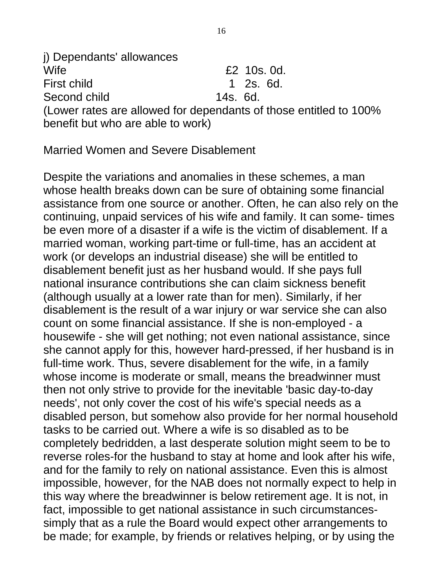j) Dependants' allowances Wife **EXECUTE:** EXECUTE: NOTE: NOTE: NOTE: NOTE: NOTE: NOTE: NOTE: NOTE: NOTE: NOTE: NOTE: NOTE: NOTE: NOTE: NOTE: NOTE: NOTE: NOTE: NOTE: NOTE: NOTE: NOTE: NOTE: NOTE: NOTE: NOTE: NOTE: NOTE: NOTE: NOTE: NOTE: NOTE: NOTE: First child 1 2s. 6d. Second child 14s. 6d. (Lower rates are allowed for dependants of those entitled to 100% benefit but who are able to work)

Married Women and Severe Disablement

Despite the variations and anomalies in these schemes, a man whose health breaks down can be sure of obtaining some financial assistance from one source or another. Often, he can also rely on the continuing, unpaid services of his wife and family. It can some- times be even more of a disaster if a wife is the victim of disablement. If a married woman, working part-time or full-time, has an accident at work (or develops an industrial disease) she will be entitled to disablement benefit just as her husband would. If she pays full national insurance contributions she can claim sickness benefit (although usually at a lower rate than for men). Similarly, if her disablement is the result of a war injury or war service she can also count on some financial assistance. If she is non-employed - a housewife - she will get nothing; not even national assistance, since she cannot apply for this, however hard-pressed, if her husband is in full-time work. Thus, severe disablement for the wife, in a family whose income is moderate or small, means the breadwinner must then not only strive to provide for the inevitable 'basic day-to-day needs', not only cover the cost of his wife's special needs as a disabled person, but somehow also provide for her normal household tasks to be carried out. Where a wife is so disabled as to be completely bedridden, a last desperate solution might seem to be to reverse roles-for the husband to stay at home and look after his wife, and for the family to rely on national assistance. Even this is almost impossible, however, for the NAB does not normally expect to help in this way where the breadwinner is below retirement age. It is not, in fact, impossible to get national assistance in such circumstancessimply that as a rule the Board would expect other arrangements to be made; for example, by friends or relatives helping, or by using the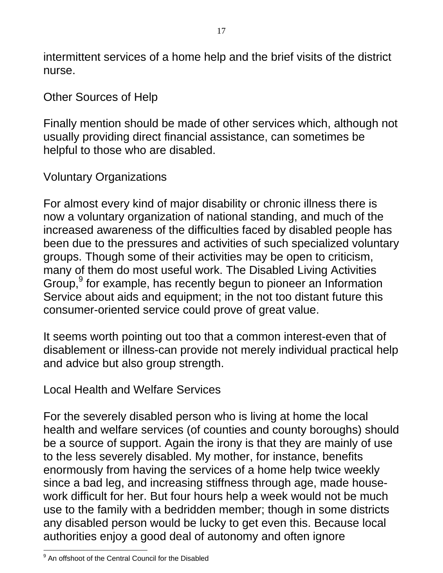intermittent services of a home help and the brief visits of the district nurse.

#### Other Sources of Help

Finally mention should be made of other services which, although not usually providing direct financial assistance, can sometimes be helpful to those who are disabled.

### Voluntary Organizations

For almost every kind of major disability or chronic illness there is now a voluntary organization of national standing, and much of the increased awareness of the difficulties faced by disabled people has been due to the pressures and activities of such specialized voluntary groups. Though some of their activities may be open to criticism, many of them do most useful work. The Disabled Living Activities Group,<sup>9</sup> for example, has recently begun to pioneer an Information Service about aids and equipment; in the not too distant future this consumer-oriented service could prove of great value.

It seems worth pointing out too that a common interest-even that of disablement or illness-can provide not merely individual practical help and advice but also group strength.

Local Health and Welfare Services

For the severely disabled person who is living at home the local health and welfare services (of counties and county boroughs) should be a source of support. Again the irony is that they are mainly of use to the less severely disabled. My mother, for instance, benefits enormously from having the services of a home help twice weekly since a bad leg, and increasing stiffness through age, made housework difficult for her. But four hours help a week would not be much use to the family with a bedridden member; though in some districts any disabled person would be lucky to get even this. Because local authorities enjoy a good deal of autonomy and often ignore

<sup>9</sup> An offshoot of the Central Council for the Disabled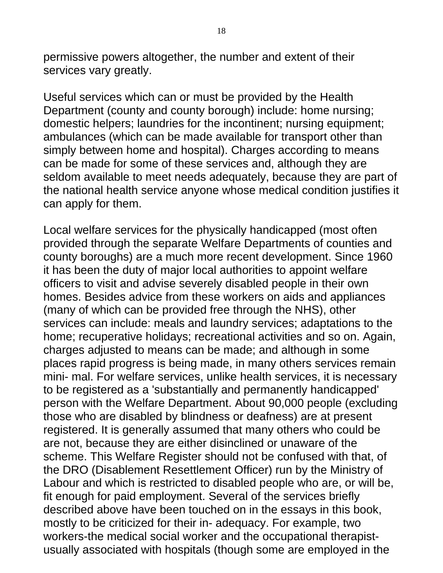permissive powers altogether, the number and extent of their services vary greatly.

Useful services which can or must be provided by the Health Department (county and county borough) include: home nursing; domestic helpers; laundries for the incontinent; nursing equipment; ambulances (which can be made available for transport other than simply between home and hospital). Charges according to means can be made for some of these services and, although they are seldom available to meet needs adequately, because they are part of the national health service anyone whose medical condition justifies it can apply for them.

Local welfare services for the physically handicapped (most often provided through the separate Welfare Departments of counties and county boroughs) are a much more recent development. Since 1960 it has been the duty of major local authorities to appoint welfare officers to visit and advise severely disabled people in their own homes. Besides advice from these workers on aids and appliances (many of which can be provided free through the NHS), other services can include: meals and laundry services; adaptations to the home; recuperative holidays; recreational activities and so on. Again, charges adjusted to means can be made; and although in some places rapid progress is being made, in many others services remain mini- mal. For welfare services, unlike health services, it is necessary to be registered as a 'substantially and permanently handicapped' person with the Welfare Department. About 90,000 people (excluding those who are disabled by blindness or deafness) are at present registered. It is generally assumed that many others who could be are not, because they are either disinclined or unaware of the scheme. This Welfare Register should not be confused with that, of the DRO (Disablement Resettlement Officer) run by the Ministry of Labour and which is restricted to disabled people who are, or will be, fit enough for paid employment. Several of the services briefly described above have been touched on in the essays in this book, mostly to be criticized for their in- adequacy. For example, two workers-the medical social worker and the occupational therapistusually associated with hospitals (though some are employed in the